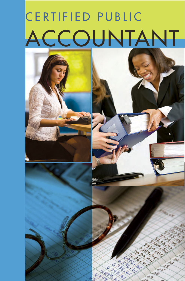# CERTIFIED PUBLIC ACCOUNTANT







d9